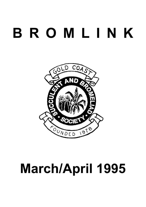# **B R O M L I N K**



# **March/April 1995**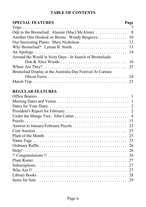# **TABLE OF CONTENTS**

# **SPECIAL FEATURES Page** Trips . . . . . . . . . . . . . . . . . . . . . . . . . . . . . . . . . . . . . . . . . . . . . . . . . . . 7 Ode to the Bromeliad: Alastair (Mac) McAlister . . . . . . . . . . . . . . . 8 Another One Hooked on Broms: Wendy Besgrove. . . . . . . . . . . . . . 10 Our Interesting Plants: Mary Nicholson . . . . . . . . . . . . . . . . . . . . . . 12 Why Bromeliad?: Lyman B. Smith . . . . . . . . . . . . . . . . . . . . . . . . . . 13 An Apology. . . . . . . . . . . . . . . . . . . . . . . . . . . . . . . . . . . . . . . . . . . . . 14 Around the World in Sixty Days - In Search of Bromeliads: Don & Alice Woods . . . . . . . . . . . . . . . . . . . . . . . . . . . . . . . . 16 Where Are They? . . . . . . . . . . . . . . . . . . . . . . . . . . . . . . . . . . . . . . . . 23 Bromeliad Display at the Australia Day Festival At Carrara: Olwen Ferris . . . . . . . . . . . . . . . . . . . . . . . . . . . . . . . . . . . . . . 24 March Trip . . . . . . . . . . . . . . . . . . . . . . . . . . . . . . . . . . . . . . . . . . . . . 23

# **REGULAR FEATURES**

| 15                                                                                                         |  |
|------------------------------------------------------------------------------------------------------------|--|
| 23                                                                                                         |  |
| 25                                                                                                         |  |
| 25                                                                                                         |  |
| 25                                                                                                         |  |
| 26                                                                                                         |  |
| 26                                                                                                         |  |
| 26                                                                                                         |  |
| 27                                                                                                         |  |
| 27                                                                                                         |  |
| 27                                                                                                         |  |
| 28                                                                                                         |  |
| Items for Sale $\dots \dots \dots \dots \dots \dots \dots \dots \dots \dots \dots \dots \dots \dots$<br>29 |  |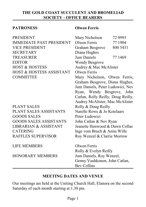#### **THE GOLD COAST SUCCULENT AND BROMELIAD SOCIETY - OFFICE BEARERS**

#### **PATRONESS**

| <b>Olwen Ferris</b> |  |
|---------------------|--|
|---------------------|--|

| <b>PRESIDENT</b>                    | Mary Nicholson<br>72 0993          |
|-------------------------------------|------------------------------------|
| <b>IMMEDIATE PAST PRESIDENT</b>     | Olwen Ferris<br>77 1904            |
| <b>VICE PRESIDENT</b>               | 800 5431<br>Graham Besgrove        |
| <b>SECRETARY</b>                    | Diana Hughes                       |
| <b>TREASURER</b>                    | <b>Jum Daniels</b><br>77 1469      |
| <b>EDITOR</b>                       | <b>Wendy Besgrove</b>              |
| <b>HOST &amp; HOSTESS</b>           | Audrey & Mac McAlister             |
| <b>HOST &amp; HOSTESS ASSISTANT</b> | Olwen Ferris                       |
| <b>COMMITTEE</b>                    | Mary Nicholson, Olwen Ferris,      |
|                                     | Graham Besgrove, Diana Hughes,     |
|                                     | Jum Daniels, Peter Ludowici, Nev   |
|                                     | Ryan, Wendy Besgrove, John         |
|                                     | Catlan, Rolly Reilly, Doug Reilly, |
|                                     | Audrey McAlister, Mac McAlister    |
| <b>PLANT SALES</b>                  | Rolly & Doug Reilly                |
| PLANT SALES ASSISTANTS              | Narelle Rowe & Jo Ketelaars        |
| <b>GOODS SALES</b>                  | Peter Ludowici                     |
| <b>GOODS SALES ASSISTANTS</b>       | John Catlan & Nev Ryan             |
| LIBRARIAN & ASSISTANT               | Jeanette Henwood & Dawn Collas     |
| <b>CATERING</b>                     | Inge vom Bruch & Anita Wille       |
| <b>RAFFLES SUPERVISOR</b>           | Roy Wenzel & Clarrie Morrow        |
| <b>LIFE MEMBERS</b>                 | Olwen Ferris                       |
|                                     | Rolly & Evelyn Reilly              |
| <b>HONORARY MEMBERS</b>             | Jum Daniels, Roy Wenzel,           |
|                                     | Genny Vauhkonen, John Catlan,      |
|                                     | <b>Bev Collins</b>                 |

#### **MEETING DATES AND VENUE**

Our meetings are held at the Uniting Church Hall, Elanora on the second Saturday of each month starting at 1.30 pm.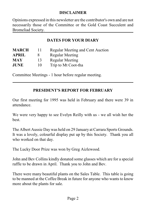## **DISCLAIMER**

Opinions expressed in this newsletter are the contributor's own and are not necessarily those of the Committee or the Gold Coast Succulent and Bromeliad Society.

# **DATES FOR YOUR DIARY**

| <b>MARCH</b> | 11 | <b>Regular Meeting and Cent Auction</b> |
|--------------|----|-----------------------------------------|
| <b>APRIL</b> | x  | <b>Regular Meeting</b>                  |
| MAY          | 13 | <b>Regular Meeting</b>                  |
| <b>JUNE</b>  | 10 | Trip to Mt Coot-tha                     |
|              |    |                                         |

Committee Meetings - 1 hour before regular meeting.

# **PRESIDENT'S REPORT FOR FEBRUARY**

Our first meeting for 1995 was held in February and there were 39 in attendance.

We were very happy to see Evelyn Reilly with us - we all wish her the best.

The Albert Aussie Day was held on 29 January at Carrara Sports Grounds. It was a lovely, colourful display put up by this Society. Thank you all who worked on that day.

The Lucky Door Prize was won by Greg Aizlewood.

John and Bev Collins kindly donated some glasses which are for a special raffle to be drawn in April. Thank you to John and Bev.

There were many beautiful plants on the Sales Table. This table is going to be manned at the Coffee Break in future for anyone who wants to know more about the plants for sale.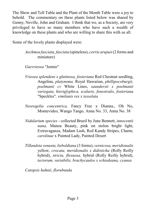The Show and Tell Table and the Plant of the Month Table were a joy to behold. The commentary on these plants listed below was shared by Genny, Neville, John and Graham. I think that we, as a Society, are very privileged to have so many members who have such a wealth of knowledge on these plants and who are willing to share this with us all.

Some of the lovely plants displayed were:

*Aechmea fasciata, fasciata* (spineless), *corrie arujuei* (2 forms and miniature)

*Guzvriesea* "Jennie"

*Vriesea splendens x glutinosa, fosteriana* Red Chestnut seedling, Angelina, *platynema,* Royal Hawaiian, *phillipocoburgii, poelmanii cv* White Lines, *saundersii x poelmanii variegata, hieriglyphica, scalaris, fenestralis, fosteriana* "Speckles"*, vimilanis rex x tesselata*

*Neoregelia concentrica,* Fancy Free x Dianna., Oh No, Montevideo, Wango Tango*,* Anna No. 33, Anna No. 38

- *Nidularium species* collected Brazil by June Bennett, *innocentii nana,* Manoa Beauty, pink on stolon bright light, Extravaganza, Madam Lash, Red Kandy Stripes, Charm*, carolinae* x Painted Lady, Painted Desert
- *Tillandsia venusta, lieboldiana* (3 forms), *vernicosa, meridionalis* yellow, *crocata, meridionalis x didisticha* (Rolly Reilly hybrid), *stricta, flexuosa,* hybrid (Rolly Reilly hybrid), *tectorum, variabilis, brachycaulos x schiedeana, cyanea*

*Catopsis hahnii, florubunda*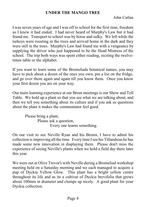#### **UNDER THE MANGO TREE**

John Catlan

I was seven years of age and I was off to school for the first time, freedom as I knew it had ended. I had never heard of Murphy's Law but it had found me. Transport to school was by horse and sulky. We left while the turkeys were roosting in the trees and arrived home in the dark and they were still in the trees. Murphy's Law had found me with a vengeance by supplying the driver who just happened to be the Head Mistress of the school. The trip both ways was spent either reading, reciting the twelvetimes table or the alphabet.

If you want to learn some of the Bromeliads botanical names, you may have to pick about a dozen of the ones you own, pin a list on the fridge, and go over them again and again till you know them. Once you know your first dozen you are on your way.

Our main learning experience at our Brom meetings is our Show and Tell Table. We hold up a plant so that you see what we are talking about, and then we tell you something about its culture and if you ask us questions about the plant it makes the commentator feel good.

> Please bring a plant, Please ask a question, Every one learns something.

On our visit to see Neville Ryan and his Broms, I have to admit his collection is improving all the time. Every time Isee his Tillandsias he has made some new innovation in displaying them. Please don't miss the experience of seeing Neville's plants when we hold a field day there later this year.

We were out at Olive Trevor's with Neville during a Bromeliad workshop meeting held on a Saturday morning and we each managed to acquire a pup of Dyckia Yellow Glow. This plant has a bright yellow centre throughout its life and as its a cultivar of Dyckia brevifolia that grows about 100mm in diameter and clumps up nicely. A good plant for your Dyckia collection.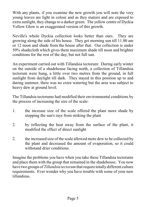With any plants, if you examine the new growth you will note the very young leaves are light in colour and as they mature and are exposed to extra sunlight, they change to a darker green. The yellow centre of Dyckia Yellow Glow is an exaggerated version of this growth.

Neville's whole Dyckia collection looks better than ours. They are growing along the side of his house. They get morning sun till 11.00 am or 12 noon and shade from the house after that. Our collection is under 50% shadecloth which gives them maximum shade till noon and brighter conditions for the rest of the day, but not full sun.

An experiment carried out with Tillandsia tectorum: During early winter on the outside of a shadehouse facing north, a collection of Tillandsia tectorum were hung, a little over two metres from the ground, in full sunlight from daylight till dark. They stayed in this position up to and during summer, there was no extra watering but the area was subject to heavy dew at ground level.

The Tillandsia tectorums had modified their environmental conditions by the process of increasing the size of the scale:

- 1. the increase size of the scale offered the plant more shade by stopping the sun's rays from striking the plant
- 2. by reflecting the heat away from the surface of the plant, it modified the effect of direct sunlight
- 2. the increased size of the scale allowed more dew to be collected by the plant and decreased the amount of evaporation, so it could withstand drier conditions.

Imagine the problems you have when you take these Tillandsia tectorums and place them with the group that remained in the shadehouse. You now have two groups of *Tillandsia tectorum* that require totally different culture requirements. Ever wonder why you have trouble with some of your new tillandsias.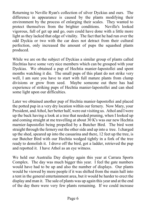Returning to Neville Ryan's collection of silver Dyckias and ours. The difference in appearance is caused by the plants modifying their environment by the process of enlarging their scales. They wanted to protect themselves from the brighter conditions. Neville's looked vigorous, full of get up and go, ours could have done with a little more light as they lacked that edge of vitality. The fact that he had run over the odd Dyckia or two with the car does not detract from their cultural perfection, only increased the amount of pups the squashed plants produced.

While we are on the subject of Dyckias a similar group of plants called Hechtias have some very nice members which can be grouped with your Dyckias. We obtained a pup of Hechtia manier-lapostollei and spent months watching it die. The small pups of this plant do not strike very well, I am sure you have to start with full mature plants from clump divisions or grow from seed. Maybe someone out there has had experience of striking pups of Hechtia manier-lapostollei and can shed some light upon our difficulties.

Later we obtained another pup of Hechtia manier-lapostollei and placed the potted pup in a very dry location within our fernery. Now Mary, your President, and Athol, her better half, were out visiting us. Athol and Iwere up the back having a look at a tree that needed pruning, when I looked up and coming straight at me travelling at about 30 K's was our new Hechtia marnier-lapostollei being propelled by a Butcher Bird. The bird went straight through the fernery out the other side and up into a tree. I charged up the shed, speared up into the casuarina and there, 12 feet up the tree, is our Butcher Bird with our Hechtia wedged tightly in a fork of the tree ready to demolish it. I drove off the bird, got a ladder, retrieved the pup and repotted it. I have Athol as an eye witness.

We held our Australia Day display again this year at Carrara Sports Complex. The day was much bigger this year. I feel the gate numbers would have had to be up and also the number of displays. Our plants would be viewed by more people if it was shifted from the main hall into a tent in the general entertainment area, but it would be harder to erect the display and man it. The sale of plants was up again this year and at the end of the day there were very few plants remaining. If we could increase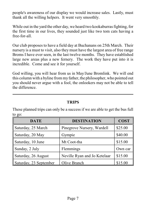people's awareness of our display we would increase sales. Lastly, must thank all the willing helpers. It went very smoothly.

While out in the yard the other day, we heard two kookaburras fighting, for the first time in our lives, they sounded just like two tom cats having a free-for-all.

Our club proposes to have a field day at Buchanans on 25th March. Their nursery is a must to visit, also they must have the largest area of free range Broms I have ever seen, in the last twelve months. They have established large new areas plus a new fernery. The work they have put into it is incredible. Come and see it for yourself.

God willing, you will hear from us in May/June Bromlink. We will end this column with a byline from myfather, the philosopher, who pointed out you should never argue with a fool, the onlookers may not be able to tell the difference.

# **TRIPS**

These planned trips can only be a success if we are able to get the bus full to go:

| <b>DATE</b>            | <b>DESTINATION</b>           | <b>COST</b> |
|------------------------|------------------------------|-------------|
| Saturday, 25 March     | Pinegrove Nursery, Wardell   | \$25.00     |
| Saturday, 20 May       | Gympie                       | \$40.00     |
| Saturday, 10 June      | Mt Coot-tha                  | \$15.00     |
| Sunday, 2 July         | Flemmings                    | Own car     |
| Saturday, 26 August    | Neville Ryan and Jo Ketelaar | \$15.00     |
| Saturday, 23 September | Olive Branch                 | \$15.00     |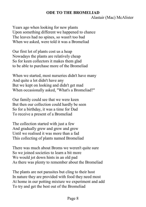#### **ODE TO THE BROMELIAD**

Alastair (Mac) McAlister

Years ago when looking for new plants Upon something different we happened to chance The leaves had no spines, so wasn't too bad When we asked, were told it was a Bromeliad

Our first lot of plants cost us a heap Nowadays the plants are relatively cheap So for keen collectors it makes them glad to be able to purchase more of the Bromeliad

When we started, most nurseries didn't have many And quite a lot didn't have any But we kept on looking and didn't get mad When occasionally asked, "What's a Bromeliad?"

Our family could see that we were keen But then our collection could hardly be seen So for a birthday, it was a time for Dad To receive a present of a Bromeliad

The collection started with just a few And gradually grew and grew and grew Until we realised it was more than a fad This collecting of plants named Bromeliad

There was much about Broms we weren't quite sure So we joined societies to learn a bit more We would jot down hints in an old pad As there was plenty to remember about the Bromeliad

The plants are not parasites but cling to their host In nature they are provided with food they need most At home in our potting mixture we experiment and add To try and get the best out of the Bromeliad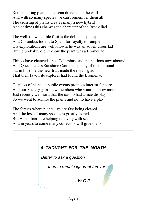Remembering plant names can drive us up the wall And with so many species we can't remember them all The crossing of plants creates many a new hybrid And at times this changes the character of the Bromeliad

The well known edible fruit is the delicious pineapple And Columbus took it to Spain for royalty to sample His explorations are well known, he was an adventurous lad But he probably didn't know the plant was a Bromeliad

Things have changed since Columbus said, plantations now abound And Queensland's Sunshine Coast has plenty of them around but in his time the new fruit made the royals glad That their favourite explorer had found the Bromeliad

Displays of plants at public events promote interest for sure And our Society gains new members who want to know more Just recently we heard that the casino had a nice display So we went to admire the plants and not to have a play

The forests where plants live are fast being cleared And the loss of many species is greatly feared But Australians are helping recovery with seed banks And in years to come many collectors will give thanks

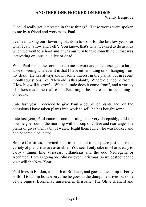#### **ANOTHER ONE HOOKED ON BROMS** Wendy Besgrove

"I could really get interested in these things". These words were spoken to me by a friend and workmate, Paul.

I've been taking our flowering plants in to work for the last few years for what I call "Show and Tell". You know, that's what we used to do as kids when we went to school and it was our turn to take something in that was interesting or unusual, alive or dead.

Well, Paul sits in the room next to me at work and, of course, gets a large dose of seeing whatever it is that I have either sitting on or hanging from my desk. He has always shown some interest in the plants, but in recent months questions like, "How old is this plant", "Where did it come from", "How big will it grow", "What altitude does it come from", and a variety of others made me realise that Paul might be interested in becoming a collector.

Late last year, I decided to give Paul a couple of plants and, on the occasions I have taken plants into work to sell, he has bought some.

Late last year, Paul came in one morning and, very sheepishly, told me how he goes out in the morning with his cup of coffee and rearranges the plants or gives them a bit of water. Right then, I knew he was hooked and had become a collector.

Before Christmas, I invited Paul to come out to our place just to see the variety of plants that are available. You see, I only take in what is easy to carry - things like Vrieseas, Tillandsias and the odd Neoregelia or Aechmea. He was going on holidays over Christmas, so we postponed the visit will the New Year.

Paul lives in Bardon, a suburb of Brisbane, and goes to the dump at Ferny Hills. I told him how, everytime he goes to the dump, he drives past one of the biggest Bromeliad nurseries in Brisbane (The Olive Branch) and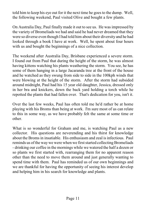told him to keep his eye out for it the next time he goes to the dump. Well, the following weekend, Paul visited Olive and bought a few plants.

On Australia Day, Paul finally made it out to see us. He was impressed by the variety of Bromeliads we had and said he had never dreamed that they were so diverse even though I had told him about their diversity and he had looked through a book I have at work. Well, he spent about four hours with us and bought the beginnings of a nice collection.

The weekend after Australia Day, Brisbane experienced a severe storm. I found out from Paul that during the height of the storm, he was almost having kittens watching his plants weathering the storm. You see, he has some of them hanging in a large Jacaranda tree at the front of the house and he watched as they swung from side to side in the 100kph winds that were blowing at the height of the storm. After the storm had subsided around midnight, Paul had his 15 year old daughter, Jessica, dressed only in her bra and knickers, down the back yard holding a torch while he repotted the plants that had fallen over. That's dedication for you, isn't it.

Over the last few weeks, Paul has often told me he'd rather be at home playing with his Broms than being at work. I'm sure most of us can relate to this in some way, as we have probably felt the same at some time or other.

What is so wonderful for Graham and me, is watching Paul as a new collector. His questions are neverending and his thirst for knowledge about the Broms in insatiable. His enthusiasm and zeal is infectious. Paul reminds us of the way we were when we first started collecting Bromeliads - drinking our coffee in the mornings while we watered the half a dozen or so plants we first started with, rearranging them for no apparent reason other than the need to move them around and just generally wanting to spend time with them. Paul has reminded us of our own beginnings and we are thankful for having the opportunity of seeing his interest develop and helping him in his search for knowledge and plants.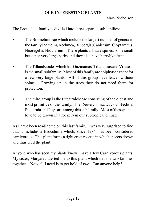#### **OUR INTERESTING PLANTS**

The Bromeliad family is divided into three separate subfamilies:

- The Bromelioideae which include the largest number of genera in the family including Aechmea, Billbergia, Canistrum, Cryptanthus, Neoregelia, Nidularium. These plants all have spines, some small but other very large barbs and they also have berrylike fruit.
- The Tillandsioides which has Guzmanias, Tillandsias and Vrieseas is the small subfamily. Most of this family are epiphytic except for a few very large plants. All of this group have leaves without spines. Growing up in the trees they do not need them for protection.
- The third group is the Pitcairnioideae consisting of the oldest and most primitive of the family. The Deutercohnia, Dyckia, Hechtia, Pitcairnia and Puya are among this subfamily. Most of these plants love to be grown in a rockery in our subtropical climate.

As I have been reading up on this last family, I was very surprised to find that it includes a Brocchinia which, since 1984, has been considered carnivorous. This plant forms a tight erect rosette in which insects drown and thus feed the plant.

Anyone who has seen my plants know I have a few Carnivorous plants. My sister, Margaret, alerted me to this plant which ties the two families together. Now all I need is to get hold of two. Can anyone help?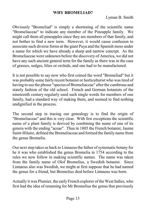#### **WHY BROMELIAD?**

Obviously "Bromeliad" is simply a shortening of the scientific name "Bromeliaceae" to indicate any member of the Pineapple family. We might call them all pineapples since they are members of that family, and not bother to find a new term. However, it would cause confusion to associate such diverse forms at the giant Puya and the Spanish moss under a name for which we have already a sharp and narrow concept. As the Bromeliaceae were unknown before the discovery of America, we did not have any such ancient general term for the family as there was in the case of grasses, sedges, lilies or orchids, and one had to be manufactured.

It is not possible to say now who first coined the word "Bromeliad" but it was probably some fairly recent botanist or horticulturist who was tired of having to use the phrase "species of Bromeliaceae" after the cumbrous and stately fashion of the old school. French and German botanists of the nineteenth century regularly used such single words for members of one family, had a standard way of making them, and seemed to find nothing undignified in the process.

The second step in tracing our genealogy is to find the origin of "Bromeliaceae" and this is very clear. With few exceptions the scientific name of a plant family is derived by combining the name of one of its genera with the ending "aceae". Thus in 1805 the French botanist, Jaume Saint-Hilaire, defined the Bromeliaceae and formed the family name from the genus Bromelia.

Our next step takes us back to Linnaeus the father of systematic botany for he it was who established the genus Bromelia in 1754 according to the rules we now follow in making scientific names. The name was taken from the family name of Olof Bromelius, a Swedish botanist. Since Linnaeus also was Swedish, we might at first suppose that he had named the genus for a friend, but Bromelius died before Linnaeus was born.

Actually it was Plumier, the early French explorer of the West Indies, who first had the idea of renaming for Mr Bromelius the genus that previously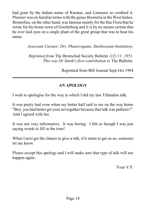had gone by the Indian name of Karatas, and Linnaeus so credited it. Plumier was on familiar terms with the genus Bromelia in the West Indies. Bromelius, on the other hand, was famous mainly for the fine Flora that he wrote for his home town of Goetheborg and it is by no means certain that he ever laid eyes on a single plant of the great group that was to bear his name.

*Associate Curator, Div. Phanerogams, Smithsonian Institution.*

*Reprinted from* The Bromeliad Society Bulletin *1(2):11; 1951. This was Dr Smith's first contribution to* The Bulletin.

Reprinted from BSI Journal Sept-Oct 1984

# **AN APOLOGY**

I wish to apologise for the way in which I did my last Tillandsia talk.

It was pretty bad even when my better half said to me on the way home "Boy, you had better get your act together because that talk was pathetic!". And I agreed with her.

It was not very informative. It was boring. I felt as though I was just saying words to fill in the time!

When I next get the chance to give a talk, if it starts to get so-so, someone let me know.

Please accept this apology and I will make sure that type of talk will not happen again.

Your V.P.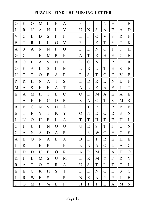# **PUZZLE - FIND THE MISSING LETTER**

| $\overline{O}$          | $\mathbf F$      | $\mathbf O$             | M              | L              | E              | A              | $\boldsymbol{\mathrm{F}}$ | $\mathbf I$    | $\rm I$        | N                     | H            | $\mathbf T$             | E                  |
|-------------------------|------------------|-------------------------|----------------|----------------|----------------|----------------|---------------------------|----------------|----------------|-----------------------|--------------|-------------------------|--------------------|
| $\bf I$                 | $\mathbb{R}$     | N                       | A              | N              | I              | V              | U                         | N              | S              | A                     | E            | A                       | D                  |
| $\overline{\mathsf{V}}$ | $\overline{C}$   | E                       | D              | S              | $\mathbf{P}$   | $\rm I$        | E                         | I              | $\overline{O}$ | $\overline{\text{V}}$ | S            | $\mathbf R$             | ${\bf F}$          |
| E                       | T                | $\mathbb{R}$            | $\mathbf I$    | $\mathbf I$    | G              | V              | $\mathbb{R}$              | I              | E              | T                     | Y            | T                       | K                  |
| A                       | S                | A                       | N              | N              | ${\bf P}$      | $\overline{O}$ | L                         | E              | N              | $\overline{O}$        | $\mathbf T$  | T                       | $H_{\rm}$          |
| G                       | $\overline{C}$   | T                       | E              | M              | $\mathbf{P}$   | E              | A                         | T              | E              | H                     | E            | $\overline{O}$          | E                  |
| $\mathbf R$             | $\overline{O}$   | $\bf I$                 | A              | S              | N              | $\rm I$        | L                         | $\overline{O}$ | N              | E                     | ${\bf P}$    | T                       | $\mathbf R$        |
| $\overline{O}$          | $\mathbf F$      | A                       | L              | S              | $\rm I$        | M              | L                         | E              | U              | T                     | E            | S                       | E                  |
| U                       | T                | T                       | $\overline{O}$ | F              | A              | $\mathbf{P}$   | $\mathbf{P}$              | S              | T              | $\overline{O}$        | G            | $\overline{\mathsf{V}}$ | E                  |
| ${\bf P}$               | $\mathbb{R}$     | $H_{\rm}$               | $\overline{N}$ | A              | T              | S              | E                         | D              | $\mathbb{R}$   | L                     | N            | D                       | ${\bf F}$          |
| M                       | A                | S                       | H              | E              | $\overline{A}$ | $\mathbf T$    | $\mathbf{A}$              | L              | E              | A                     | E            | L                       | T                  |
| ${\bf E}$               | $\mathbf{A}$     | M                       | H              | T              | E              | $\mathcal{C}$  | $\overline{O}$            | L              | M              | A                     | E            | A                       | E                  |
| $\mathbf T$             | A                | H                       | E              | $\mathcal{C}$  | $\overline{O}$ | ${\bf P}$      | $\mathbb{R}$              | A              | $\mathcal{C}$  | T                     | S            | M                       | S                  |
| $\mathbb{R}$            | E                | $\mathcal{C}$           | M              | S              | $H_{\rm}$      | A              | E                         | $\mathbf T$    | $\mathbb{R}$   | E                     | ${\bf P}$    | E                       | E                  |
| E                       | T                | $\mathbf{F}$            | Y              | T              | K              | Y              | $\overline{O}$            | N              | E              | $\overline{O}$        | $\mathbb{R}$ | S                       | N                  |
| $\rm I$                 | N                | $\mathbf O$             | H              | $\mathbf{P}$   | L              | A              | T                         | T              | H              | T                     | E            | H                       | I                  |
| G                       | $\mathbf I$      | U                       | $\overline{I}$ | N              | $\overline{O}$ | U              | U                         | E              | S              | T                     | $\mathbf I$  | $\overline{O}$          | N                  |
| $\overline{C}$          | A                | N                       | A              | D              | $\overline{A}$ | $\mathbf{P}$   | $\mathbf I$               | $\mathbf R$    | W              | $\overline{C}$        | H            | $\overline{O}$          | ${\bf F}$          |
| $\mathbf{A}$            | $\boldsymbol{B}$ | $\mathbf{O}$            | N              | $\mathbf{A}$   | L              | A              | $\boldsymbol{B}$          | E              | $\mathbf T$    | $\mathbb{R}$          | E            | $H_{\rm}$               | E                  |
| $\bf{I}$                | $\mathbb{R}$     |                         | E              | $\mathbf R$    |                | E              | E                         | $\overline{N}$ | A              | $\overline{O}$        | L            | $\mathbf{A}$            | $\overline{C}$     |
| $\bf I$                 | D                | D                       | U              | ${\bf F}$      | $\overline{O}$ | $\mathbf R$    | $\mathbf{A}$              | $\mathbf R$    | M              | $\rm I$               | A            | $H_{\rm}$               | $\overline{O}$     |
| K                       | $\overline{I}$   | E                       | M              | S              | U              | M              | E                         | $\mathbb{R}$   | M              | Y                     | F            | $\mathbf R$             | Y                  |
| $\mathbf R$             | A                | T                       | $\overline{O}$ | T              | $\mathbb{R}$   | A              | U                         | S              | T              | $\bf I$               | T            | T                       | $\bf I$            |
| E                       | E                | $\overline{C}$          | $\mathbb{R}$   | $\overline{H}$ | S              | $\mathbf T$    | L                         | E              | N              | G                     | H            | S                       | G                  |
| $\bf I$                 | $\mathbf R$      | W                       | E              | S              |                | ${\bf P}$      | N                         | E              | A              | $\overline{P}$        | $\mathbf{P}$ | L                       | E                  |
| T                       | $\overline{O}$   | $\overline{\mathbf{M}}$ | I              | W              | L              | $\mathbf I$    | $\overline{H}$            | T              | T              | E                     | A            | $\overline{\mathbf{M}}$ | $\overline{\rm N}$ |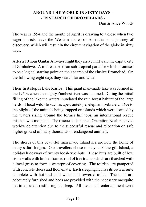# **AROUND THE WORLD IN SIXTY DAYS - - IN SEARCH OF BROMELIADS -**

Don & Alice Woods

The year is 1994 and the month of April is drawing to a close when two eager tourists leave the Western shores of Australia on a journey of discovery, which will result in the circumnavigation of the globe in sixty days.

After a 10 hour Qantas Airways flight they arrive in Harare the capital city of Zimbabwe. A mid-east African sub-tropical paradise which promises to be a logical starting point on their search of the elusive Bromeliad. On the following eight days they search far and wide.

Their first stop is Lake Kariba. This giant man-made lake was formed in the 1950's when the mightyZambesi river was dammed. During the initial filling of the lake the waters inundated the rain forest habitat of the large herds of local wildlife such as apes, antelope, elephant, zebra etc. Due to the plight of the animals being trapped on islands which were formed by the waters rising around the former hill tops, an international rescue mission was mounted. The rescue code named Operation Noah received worldwide attention due to the successful rescue and relocation on safe higher ground of many thousands of endangered animals.

The shores of this beautiful man made inland sea are now the home of many safari lodges. Our travellers chose to stay at Fothergill Island, a holiday hideaway of twenty local-type huts. These huts are built of low stone walls with timber framed roof of tree trunks which are thatched with a local grass to form a waterproof covering. The tourists are pampered with concrete floors and floor-mats. Each sleeping hut has its own ensuite complete with hot and cold water and sewered toilet. The units are adequately furnished and beds are provided with the necessary mosquito net to ensure a restful night's sleep. All meals and entertainment were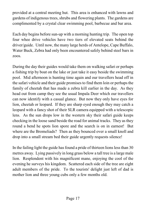provided at a central meeting hut. This area is enhanced with lawns and gardens of indigenous trees, shrubs and flowering plants. The gardens are complimented by a crystal clear swimming pool, barbecue and bar area.

Each day begins before sun-up with a morning hunting trip. The open top four whee drive vehicles have two tiers of elevated seats behind the driver/guide. Until now, the many large herds of Antelope, Cape Buffalo, Water Buck, Zebra had only been encountered safely behind steel bars in zoos.

During the day their guides would take them on walking safari or perhaps a fishing trip by boat on the lake or just take it easy beside the swimming pool. Mid afternoon is hunting time again and our travellers head off in the safari vehicle and their guide promises to find them loin or perhaps the family of cheetah that has made a zebra kill earlier in the day. As they head out from camp they see the usual Impala Deer which our travellers can now identify with a casual glance. But now they only have eyes for lion, cheetah or leopard. If they are sharp eyed enough they may catch a leopard with a fancy shot of their SLR camera equipped with a telescopic lens. As the sun drops low in the western sky their safari guide keeps checking in the loose sand beside the road for animal tracks. They as they round a bend he spots lion spore and the search is on in earnest! But where are the Bromeliads? Then as they bounced over a small knoll and drop into a small stream bed their guide urgently requests silence!

In the failing light the guide has found a pride of thirteen lions less than 30 metres away. Lying passively in long grass below a tall tree is a large male lion. Resplendent with his magnificent mane, enjoying the cool of the evening he surveys his kingdom. Scattered each side of the tree are eight adult members of the pride. To the tourists' delight just left of dad is mother lion and three young cubs only a few months old.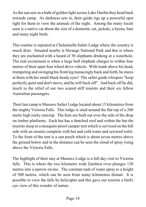As the sun sets in a bath of golden light across Lake Dariba they head back towards camp. As darkness sets in, their guide rigs up a powerful spot light for them to view the animals of the night. Among the many locals seen is a native cat about the size of a domestic cat, jackals, a hyena, bats and many night birds.

This routine is repeated at Chokamella Safari Lodge where the country is much drier. Situated nearby is Hwange National Park and this is where they are enchanted with a heard of 50 elephants drinking at a waterhole. The real excitement is when a large bull elephant charges to within four metres of their open four wheel drive vehicle. With trunk above his head, trumpeting and swinging his front legmenacingly back and forth, he stares at them with his small black beady eyes! The safari guide whispers "keep perfectly quiet and don't move, and he will back off". And back off he did, much to the relief of our two scared stiff tourists and their six fellow Australian passengers.

Their last camp is Masuwe Safari Lodge located about 15 kilometres from the mighty Victoria Falls. This lodge is sited around the flat top of a 200 metre high rocky outcrop. The huts are built out over the side of the drop on timber platforms. Each hut has a thatched roof and within the hut the tourists sleep in a mosquito proof camper tent which is serviced on the hill side with an ensuite complete with hot and cold water and sewered toilet. To the front of the tent is a sun porch which is about seven metres above the ground below and in the distance can be seen the cloud of spray rising above the Victoria Falls.

The highlight of their stay at Masuwe Lodge is a full day visit to Victoria falls. This is where the two kilometre wide Zambesi river plunges 130 metres into a narrow ravine. The constant rush of water spray to a height of 500 metres, which can be seen from many kilometres distant. It is possible to view the falls by helicopter and this gave our tourists a bird's eye view of this wonder of nature.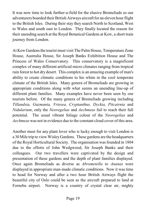It was now time to look further-a-field for the elusive Bromeliads so our adventurers boarded their British Airways aircraft for an eleven hour flight to the British Isles. During their stay they search North to Scotland, West to Wales and south east to London. They finally located the reason for their unending search at the Royal Botanical Gardens at Kew, a short train journey from London.

At Kew Gardens the tourist must visit The Palm House, Temperature Zone House, Australia House, Sir Joseph Banks Exhibition House and The Princess of Wales Conservatory. This conservatory is a magnificent complex of many different artificial micro climates ranging from tropical rain forest to hot dry desert. This complex is an amazing example of man's ability to create climatic conditions to his whim in the cool temperate climate of the British Isles. Many genera of Bromeliads are growing in appropriate conditions along with what seems an unending line-up of different plant families. Many examples have never been seen by our tourists before. Of the many genera of Bromeliads growing including *Tillandsia, Guzmania, Vriesea, Cryptanthus, Dyckia, Pitcairnia* and *Nidularium*, only the *Neoregelias* and *Aechmeas* fail to reach their full potential. The usual vibrant foliage colour of the *Neoregelias* and *Aechmeas* was not in evidence due to the constant cloud cover of this area.

Another must for any plant lover who is lucky enough to visit London is a 30 Mile trip to view WisleyGardens. These gardens are the headquarters of the Royal Horticultural Society. The organisation was founded in 1804 due to the efforts of John Wedgwood, Sir Joseph Banks and their colleagues. Our two travellers were captivated by the design and presentation of these gardens and the depth of plant families displayed. Once again Bromeliads as diverse as *Abrometella* to *Ananas* were displayed in appropriate man-made climatic conditions. Now it was time to head for Norway and after a two hour British Airways flight the beautiful city of Oslo could be seen as the aircraft prepared to land at Fornebu airport. Norway is a country of crystal clear air, mighty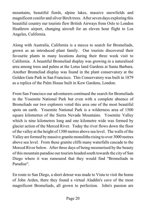mountains, beautiful fiords, alpine lakes, massive snowfields and magnificent conifer and silver Birch trees. After seven days exploring this beautiful country our tourists flew British Airways from Oslo to London Heathrow airport, changing aircraft for an eleven hour flight to Los Angeles, California.

Along with Australia, California is a mecca to search for Bromeliads, grown as an introduced plant family. Our tourists discovered their favourite plants in many locations during their three week visit to California. A beautiful Bromeliad display was growing in a naturalised area among trees and palms at the Lotus land Gardens at Santa Barbara. Another Bromeliad display was found in the plant conservatory at the Golden Gate Park in San Francisco. This Conservatory was built in 1879 as a replica of the Palm House built in Kew Gardens, London.

From San Francisco our adventurers continued the search for Bromeliads in the Yosemite National Park but even with a complete absence of Bromeliads our two explorers voted this area one of the most beautiful spots on earth. Yosemite National Park is a wilderness area of 1500 square kilometres of the Sierra Nevada Mountains. Yosemite Valley which is nine kilometres long and one kilometre wide was formed by glacier action of the Merced River. Today the river flows down the floor of the valley at the height of 1300 metres above sea level. The walls of the Valley are formed bymassive granite monoliths rising to over 3000 metres above sea level. From these granite cliffs many waterfalls cascade to the Merced River below. After three days of being mesmerised by the beauty of this mountain paradise our tourists headed south towards the city of San Diego where it was rumoured that they would find "Bromeliads in Paradise".

En route to San Diego, a short detour was made to Vista to visit the home of John Arden, there they found a virtual Aladdin's cave of the most magnificent Bromeliads, all grown to perfection. John's passion are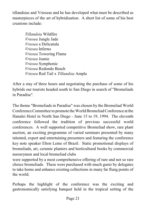tillandsias and Vrieseas and he has developed what must be described as masterpieces of the art of hybridisation. A short list of some of his best creations include:

> *Tillandsia* Wildfire *Vriesea* Jungle Jade *Vriesea* a Delicatula *Vriesea* Inferno *Vriesea* Towering Flame *Vriesea* Jeanie *Vriesea* Symphonie *Vriesea* Redondo Beach *Vriesea* Red Tail x *Tillandsia* Ampla

After a stay of three hours and negotiating the purchase of some of his hybrids our tourists headed south to San Diego in search of "Bromeliads in Paradise".

The theme "Bromeliads in Paradise" was chosen by the Bromeliad World Conference Committee to promote the World Bromeliad Conference at the Hanalei Hotel in North San Diego - June 15 to 19, 1994. The eleventh conference followed the tradition of previous successful world conferences. A well supported competitive Bromeliad show, rare plant auction, an exciting programme of varied seminars presented by many talented, expert and entertaining presenters and featuring the conference key note speaker Elton Leme of Brazil. Static promotional displays of bromeliads, art, ceramic planters and horticultural books by commercial nurserymen and local bromeliad clubs

were supported by a most comprehensive offering of rare and not so rare choice bromeliads. These were purchased with much gusto by delegates to take home and enhance existing collections in many far flung points of the world.

Perhaps the highlight of the conference was the exciting and gastronomically satisfying banquet held in the tropical setting of the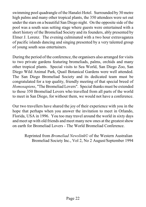swimming pool quadrangle of the Hanalei Hotel. Surrounded by 30 metre high palms and many other tropical plants, the 350 attendees were set out under the stars on a beautiful San Diego night. On the opposite side of the pool was a south seas setting stage where guests were entertained with a short history of the Bromeliad Society and its founders, ably presented by Elmer J. Lorenz. The evening culminated with a two hour extravaganza of pacific islands dancing and singing presented by a very talented group of young south seas entertainers.

During the period of the conference, the organisers also arranged for visits to two private gardens featuring bromeliads, palms, orchids and many other tropical plants. Special visits to Sea World, San Diego Zoo, San Diego Wild Animal Park, Quail Botanical Gardens were well attended. The San Diego Bromeliad Society and its dedicated team must be congratulated for a top quality, friendly meeting of that special breed of *Homosapiens*, "The Bromeliad Lovers". Special thanks must be extended to those 350 Bromeliad Lovers who travelled from all parts of the world to meet in San Diego, for without them, we would not have a conference.

Our two travellers have shared the joy of their experience with you in the hope that perhaps when you answer the invitation to meet in Orlando, Florida, USA in 1996. You too may travel around the world in sixty days and meet up with old friends and meet many new ones at the greatest show on earth for Bromeliad Lovers - The World Bromeliad Conference.

Reprinted from *Bromeliad Newslink*© of the Western Australian Bromeliad Society Inc., Vol 2, No 2 August/September 1994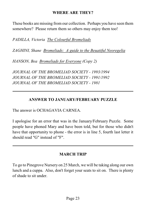#### **WHERE ARE THEY?**

These books are missing from our collection. Perhaps you have seen them somewhere? Please return them so others may enjoy them too!

*PADILLA, Victoria The Colourful Bromeliads*

*ZAGHINI, Shane Bromeliads: A guide to the Beuatiful Neoregelia*

*HANSON, Bea Bromeliads for Everyone (Copy 2)*

*JOURNAL OF THE BROMELIAD SOCIETY - 1993/1994 JOURNAL OF THE BROMELIAD SOCIETY - 1991/1992 JOURNAL OF THE BROMELIAD SOCIETY - 1981*

# **ANSWER TO JANUARY/FEBRUARY PUZZLE**

The answer is OCHAGAVIA CARNEA.

I apologise for an error that was in the January/February Puzzle. Some people have phoned Mary and have been told, but for those who didn't have that opportunity to phone - the error is in line 5, fourth last letter it should read "G" instead of "F".

# **MARCH TRIP**

To go to Pinegrove Nursery on 25 March, we will be taking along our own lunch and a cuppa. Also, don't forget your seats to sit on. There is plenty of shade to sit under.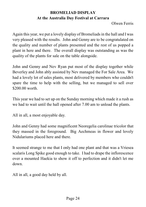# **BROMELIAD DISPLAY At the Australia Day Festival at Carrara**

Olwen Ferris

Again this year, we put a lovely display of Bromeliads in the hall and I was very pleased with the results. John and Genny are to be congratulated on the quality and number of plants presented and the rest of us popped a plant in here and there. The overall display was outstanding as was the quality of the plants for sale on the table alongside.

John and Genny and Nev Ryan put most of the display together while Beverley and John ably assisted by Nev managed the For Sale Area. We had a lovely lot of sales plants, most delivered by members who couldn't spare the time to help with the selling, but we managed to sell over \$200.00 worth.

This year we had to set up on the Sunday morning which made it a rush as we had to wait until the hall opened after 7.00 am to unload the plants.

All in all, a most enjoyable day.

John and Genny had some magnificent Neoregelia carolinae tricolor that they massed in the foreground. Big Aechmeas in flower and lovely Nidulariums placed here and there.

It seemed strange to me that I only had one plant and that was a Vriesea scalaris Long Spike good enough to take. I had to drape the inflorescence over a mounted Haekia to show it off to perfection and it didn't let me down.

All in all, a good day held by all.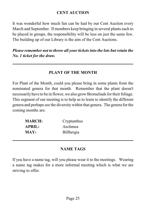# **CENT AUCTION**

It was wonderful how much fun can be had by our Cent Auction every March and September. If members keep bringing in several plants each to be placed in groups, the responsibility will be less on just the same few. The building up of our Library is the aim of the Cent Auctions.

*Please remember not to throw all your tickets into the lots but retain the No. 1 ticket for the draw.*

# **PLANT OF THE MONTH**

For Plant of the Month, could you please bring in some plants from the nominated genera for that month. Remember that the plant doesn't necessarilyhave to be in flower, we also grow Bromeliads for their foliage. This segment of our meeting is to help us to learn to identify the different genera and perhaps see the diversity within that genera. The genera for the coming months are:

| <b>MARCH:</b> | Cryptanthus |
|---------------|-------------|
| <b>APRIL:</b> | Aechmea     |
| <b>MAY:</b>   | Billbergia  |

#### **NAME TAGS**

If you have a name tag, will you please wear it to the meetings. Wearing a name tag makes for a more informal meeting which is what we are striving to offer.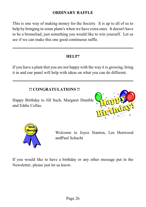# **ORDINARY RAFFLE**

This is one way of making money for the Society. It is up to all of us to help by bringing in some plant/s when we have extra ones. It doesn't have to be a bromeliad, just something you would like to win yourself. Let us see if we can make this one good continuous raffle.

# **HELP?**

If you have a plant that you are not happy with the way it is growing, bring it in and our panel will help with ideas on what you can do different.

# **!! CONGRATULATIONS !!**

Happy Birthday to Jill Such, Margaret Dumble and Eddie Collas.





Welcome to Joyce Stanton, Lee Henwood andPaul Schacht

If you would like to have a birthday or any other message put in the Newsletter, please just let us know.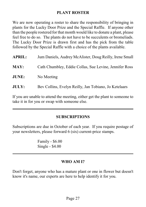#### **PLANT ROSTER**

We are now operating a roster to share the responsibility of bringing in plants for the Lucky Door Prize and the Special Raffle. If anyone other than the people rostered for that month would like to donate a plant, please feel free to do so. The plants do not have to be succulents or bromeliads. The Lucky Door Prize is drawn first and has the pick from the table followed by the Special Raffle with a choice of the plants available.

| <b>APRIL:</b> | Jum Daniels, Audrey McAlister, Doug Reilly, Irene Small |
|---------------|---------------------------------------------------------|
| <b>MAY:</b>   | Cath Chumbley, Eddie Collas, Sue Levine, Jennifer Ross  |
| <b>JUNE:</b>  | No Meeting                                              |
| <b>JULY:</b>  | Bev Collins, Evelyn Reilly, Jan Tobiano, Jo Ketelaars   |

If you are unable to attend the meeting, either get the plant to someone to take it in for you or swap with someone else.

# **SUBSCRIPTIONS**

Subscriptions are due in October of each year. If you require postage of your newsletters, please forward 6 (six) current-price stamps.

> Family - \$6.00 Single - \$4.00

# **WHO AM I?**

Don't forget, anyone who has a mature plant or one in flower but doesn't know it's name, our experts are here to help identify it for you.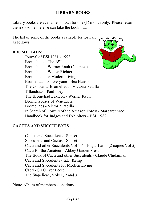# **LIBRARY BOOKS**

Library books are available on loan for one (1) month only. Please return them so someone else can take the book out.

The list of some of the books available for loan are as follows:

Journal of BSI 1981 - 1993

#### **BROMELIADS:**

Bromeliads - The BSI Bromeliads - Werner Rauh (2 copies) Bromeliads - Walter Richter Bromeliads for Modern Living Bromeliads for Everyone - Bea Hanson The Colourful Bromeliads - Victoria Padilla Tillandsias - Paul Isley The Bromeliad Lexicon - Werner Rauh Bromeliaceaes of Venezuela Bromeliads - Victoria Padilla In Search of Flowers of the Amazon Forest - Margaret Mee Handbook for Judges and Exhibitors - BSI, 1982

# **CACTUS AND SUCCULENTS**

Cactus and Succulents - Sunset Succulents and Cactus - Sunset Cacti and other Succulents Vol 1-6 - Edgar Lamb (2 copies Vol 5) Cacti for the Amateur - Abbey Garden Press The Book of Cacti and other Succulents - Claude Chidamian Cacti and Succulents - E.E. Kemp Cacti and Succulents for Modern Living Cacti - Sir Oliver Leese The Stapelieae, Vols 1, 2 and 3

Photo Album of members' donations.